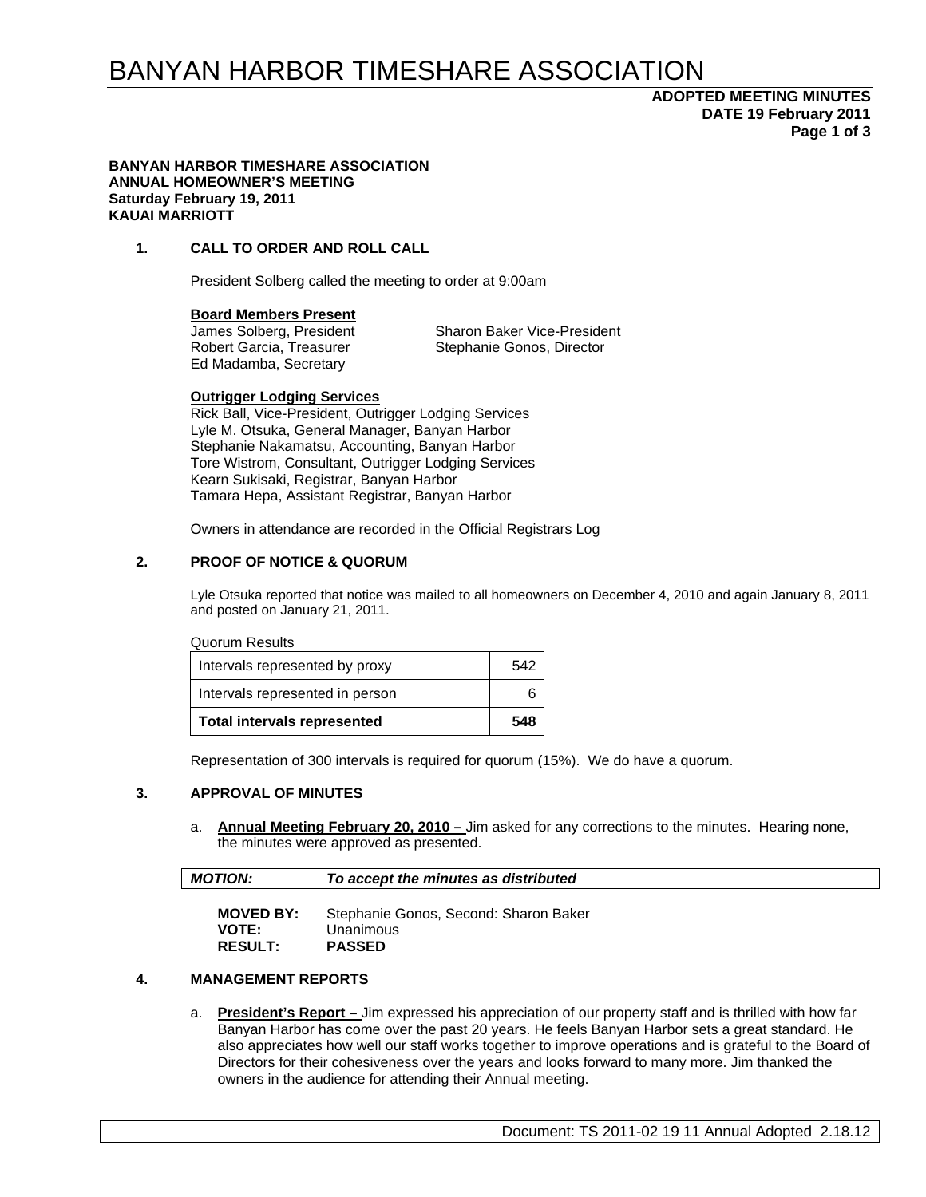# BANYAN HARBOR TIMESHARE ASSOCIATION

# **ADOPTED MEETING MINUTES DATE 19 February 2011 Page 1 of 3**

#### **BANYAN HARBOR TIMESHARE ASSOCIATION ANNUAL HOMEOWNER'S MEETING Saturday February 19, 2011 KAUAI MARRIOTT**

## **1. CALL TO ORDER AND ROLL CALL**

President Solberg called the meeting to order at 9:00am

#### **Board Members Present**

Ed Madamba, Secretary

James Solberg, President Sharon Baker Vice-President Robert Garcia, Treasurer Stephanie Gonos, Director

#### **Outrigger Lodging Services**

Rick Ball, Vice-President, Outrigger Lodging Services Lyle M. Otsuka, General Manager, Banyan Harbor Stephanie Nakamatsu, Accounting, Banyan Harbor Tore Wistrom, Consultant, Outrigger Lodging Services Kearn Sukisaki, Registrar, Banyan Harbor Tamara Hepa, Assistant Registrar, Banyan Harbor

Owners in attendance are recorded in the Official Registrars Log

## **2. PROOF OF NOTICE & QUORUM**

Lyle Otsuka reported that notice was mailed to all homeowners on December 4, 2010 and again January 8, 2011 and posted on January 21, 2011.

### Quorum Results

| <b>Total intervals represented</b> | 548 |
|------------------------------------|-----|
| Intervals represented in person    |     |
| Intervals represented by proxy     | 542 |

Representation of 300 intervals is required for quorum (15%). We do have a quorum.

### **3. APPROVAL OF MINUTES**

a. **Annual Meeting February 20, 2010 –** Jim asked for any corrections to the minutes. Hearing none, the minutes were approved as presented.

| <b>MOTION:</b><br>To accept the minutes as distributed |  |
|--------------------------------------------------------|--|
|--------------------------------------------------------|--|

| <b>MOVED BY:</b> | Stephanie Gonos, Second: Sharon Baker |
|------------------|---------------------------------------|
| <b>VOTE:</b>     | Unanimous                             |
| <b>RESULT:</b>   | <b>PASSED</b>                         |

### **4. MANAGEMENT REPORTS**

a. **President's Report –** Jim expressed his appreciation of our property staff and is thrilled with how far Banyan Harbor has come over the past 20 years. He feels Banyan Harbor sets a great standard. He also appreciates how well our staff works together to improve operations and is grateful to the Board of Directors for their cohesiveness over the years and looks forward to many more. Jim thanked the owners in the audience for attending their Annual meeting.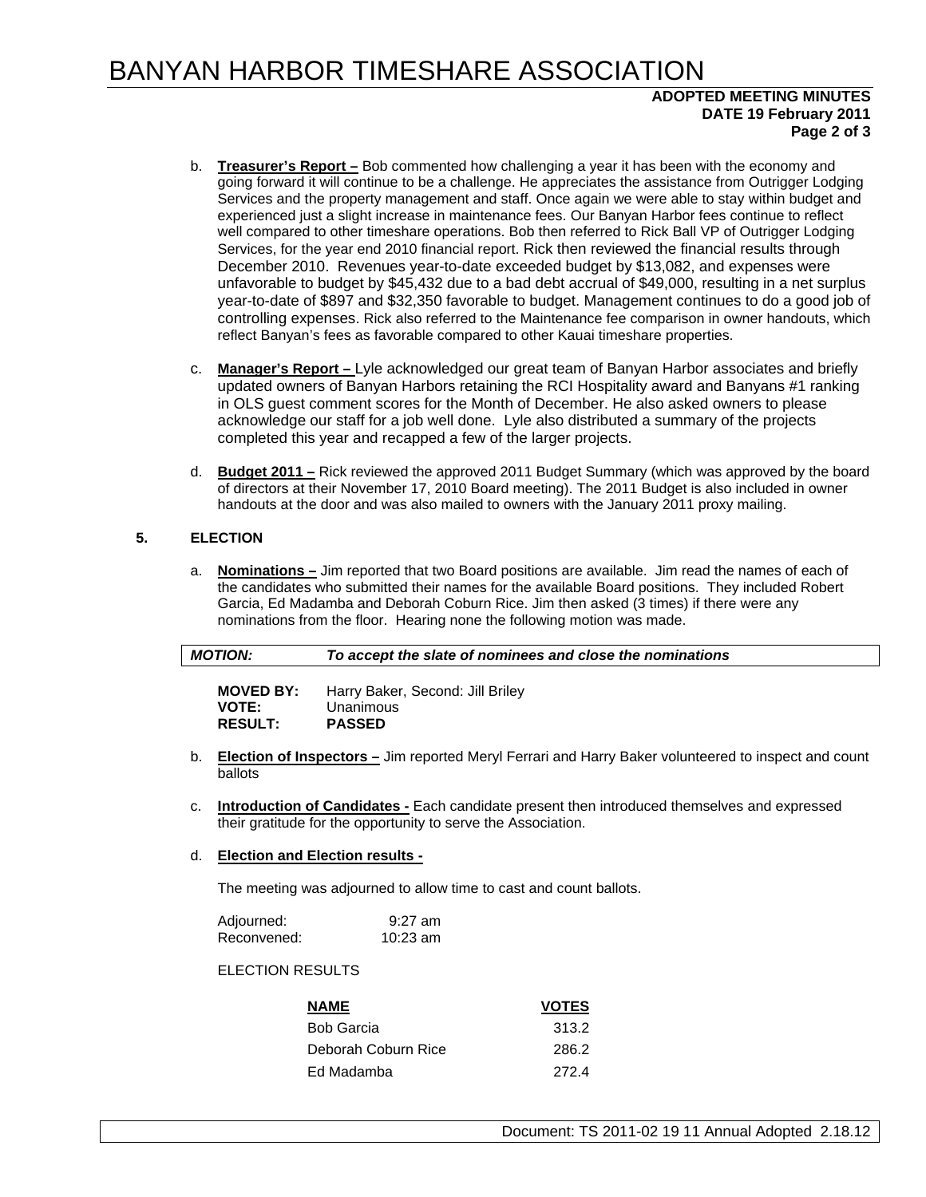# BANYAN HARBOR TIMESHARE ASSOCIATION

# **ADOPTED MEETING MINUTES DATE 19 February 2011 Page 2 of 3**

- b. **Treasurer's Report –** Bob commented how challenging a year it has been with the economy and going forward it will continue to be a challenge. He appreciates the assistance from Outrigger Lodging Services and the property management and staff. Once again we were able to stay within budget and experienced just a slight increase in maintenance fees. Our Banyan Harbor fees continue to reflect well compared to other timeshare operations. Bob then referred to Rick Ball VP of Outrigger Lodging Services, for the year end 2010 financial report. Rick then reviewed the financial results through December 2010. Revenues year-to-date exceeded budget by \$13,082, and expenses were unfavorable to budget by \$45,432 due to a bad debt accrual of \$49,000, resulting in a net surplus year-to-date of \$897 and \$32,350 favorable to budget. Management continues to do a good job of controlling expenses. Rick also referred to the Maintenance fee comparison in owner handouts, which reflect Banyan's fees as favorable compared to other Kauai timeshare properties.
- c. **Manager's Report** Lyle acknowledged our great team of Banyan Harbor associates and briefly updated owners of Banyan Harbors retaining the RCI Hospitality award and Banyans #1 ranking in OLS guest comment scores for the Month of December. He also asked owners to please acknowledge our staff for a job well done. Lyle also distributed a summary of the projects completed this year and recapped a few of the larger projects.
- d. **Budget 2011 –** Rick reviewed the approved 2011 Budget Summary (which was approved by the board of directors at their November 17, 2010 Board meeting). The 2011 Budget is also included in owner handouts at the door and was also mailed to owners with the January 2011 proxy mailing.

# **5. ELECTION**

a. **Nominations –** Jim reported that two Board positions are available. Jim read the names of each of the candidates who submitted their names for the available Board positions. They included Robert Garcia, Ed Madamba and Deborah Coburn Rice. Jim then asked (3 times) if there were any nominations from the floor. Hearing none the following motion was made.

| <b>MOTION:</b>   | To accept the slate of nominees and close the nominations |
|------------------|-----------------------------------------------------------|
| <b>MOVED BY:</b> | Harry Baker, Second: Jill Briley                          |
| <b>VOTE:</b>     | Unanimous                                                 |

| .              | <u>UNANING U</u> |
|----------------|------------------|
| <b>RESULT:</b> | <b>PASSED</b>    |

- b. **Election of Inspectors –** Jim reported Meryl Ferrari and Harry Baker volunteered to inspect and count ballots
- c. **Introduction of Candidates -** Each candidate present then introduced themselves and expressed their gratitude for the opportunity to serve the Association.

# d. **Election and Election results -**

The meeting was adjourned to allow time to cast and count ballots.

| Adjourned:  | $9:27$ am  |
|-------------|------------|
| Reconvened: | $10:23$ am |

# ELECTION RESULTS

| <b>NAME</b>         | <b>VOTES</b> |
|---------------------|--------------|
| <b>Bob Garcia</b>   | 313.2        |
| Deborah Coburn Rice | 286.2        |
| - Ed Madamba        | 2724         |